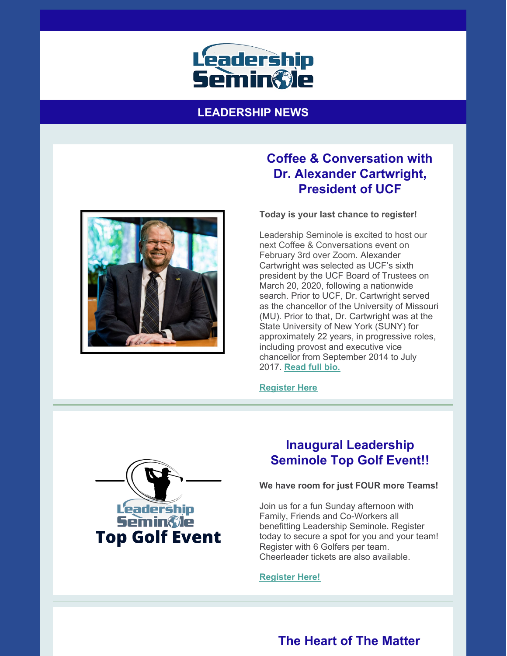

### **LEADERSHIP NEWS**



# **Coffee & Conversation with Dr. Alexander Cartwright, President of UCF**

**Today is your last chance to register!**

Leadership Seminole is excited to host our next Coffee & Conversations event on February 3rd over Zoom. Alexander Cartwright was selected as UCF's sixth president by the UCF Board of Trustees on March 20, 2020, following a nationwide search. Prior to UCF, Dr. Cartwright served as the chancellor of the University of Missouri (MU). Prior to that, Dr. Cartwright was at the State University of New York (SUNY) for approximately 22 years, in progressive roles, including provost and executive vice chancellor from September 2014 to July 2017. **[Read](https://leadershipseminole.org/wp-content/uploads/2013/01/Alexander-N.-Cartwright-Bio.pdf) full bio.**

**[Register](https://leadershipseminole.org/event/coffee-conversation/) Here**



# **Inaugural Leadership Seminole Top Golf Event!!**

### **We have room for just FOUR more Teams!**

Join us for a fun Sunday afternoon with Family, Friends and Co-Workers all benefitting Leadership Seminole. Register today to secure a spot for you and your team! Register with 6 Golfers per team. Cheerleader tickets are also available.

#### **[Register](https://leadershipseminole.org/event/top-golf/) Here!**

# **The Heart of The Matter**